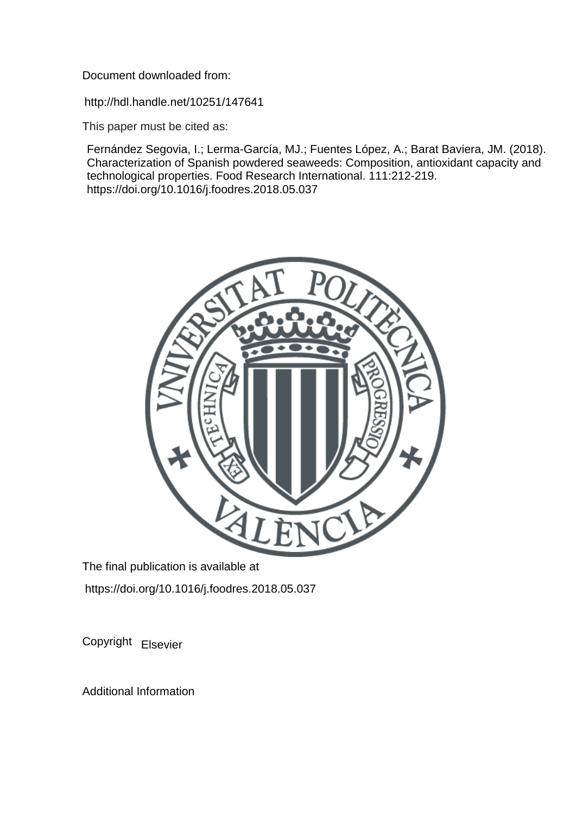Document downloaded from:

http://hdl.handle.net/10251/147641

This paper must be cited as:

Fernández Segovia, I.; Lerma-García, MJ.; Fuentes López, A.; Barat Baviera, JM. (2018). Characterization of Spanish powdered seaweeds: Composition, antioxidant capacity and technological properties. Food Research International. 111:212-219. https://doi.org/10.1016/j.foodres.2018.05.037



The final publication is available at https://doi.org/10.1016/j.foodres.2018.05.037

Copyright Elsevier

Additional Information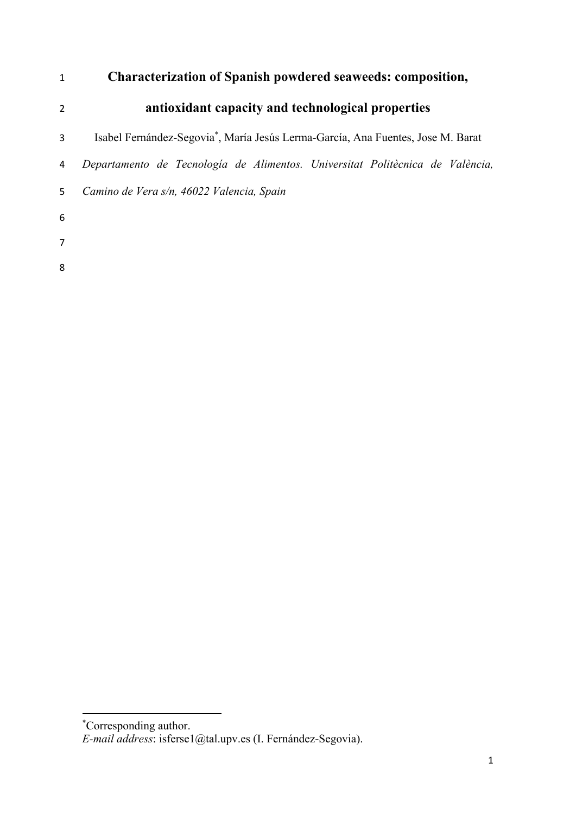# **Characterization of Spanish powdered seaweeds: composition,**

- **antioxidant capacity and technological properties**
- 3 Isabel Fernández-Segovia<sup>\*</sup>, María Jesús Lerma-García, Ana Fuentes, Jose M. Barat
- *Departamento de Tecnología de Alimentos. Universitat Politècnica de València,*
- *Camino de Vera s/n, 46022 Valencia, Spain*

 \* Corresponding author.

*E-mail address*: isferse1@tal.upv.es (I. Fernández-Segovia).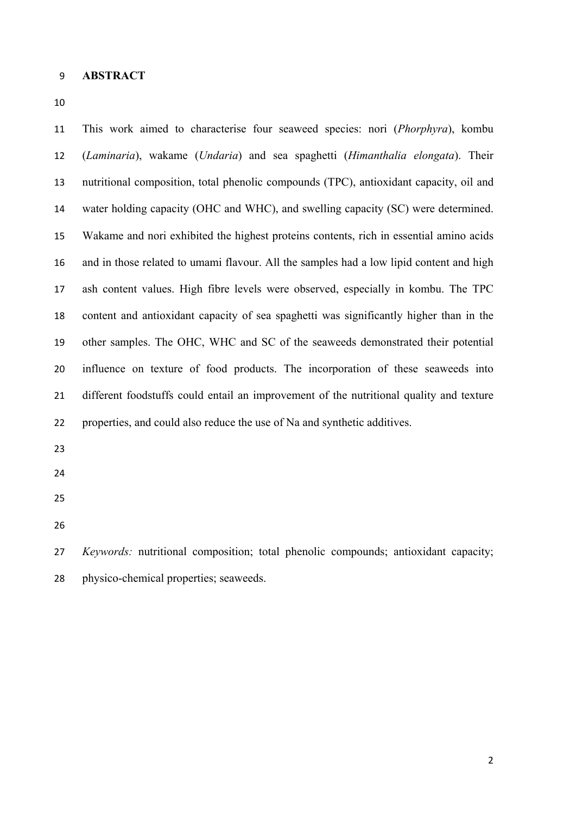#### **ABSTRACT**

 This work aimed to characterise four seaweed species: nori (*Phorphyra*), kombu (*Laminaria*), wakame (*Undaria*) and sea spaghetti (*Himanthalia elongata*). Their nutritional composition, total phenolic compounds (TPC), antioxidant capacity, oil and water holding capacity (OHC and WHC), and swelling capacity (SC) were determined. Wakame and nori exhibited the highest proteins contents, rich in essential amino acids and in those related to umami flavour. All the samples had a low lipid content and high ash content values. High fibre levels were observed, especially in kombu. The TPC content and antioxidant capacity of sea spaghetti was significantly higher than in the other samples. The OHC, WHC and SC of the seaweeds demonstrated their potential influence on texture of food products. The incorporation of these seaweeds into different foodstuffs could entail an improvement of the nutritional quality and texture properties, and could also reduce the use of Na and synthetic additives.

- 
- 
- 
- 

 *Keywords:* nutritional composition; total phenolic compounds; antioxidant capacity; physico-chemical properties; seaweeds.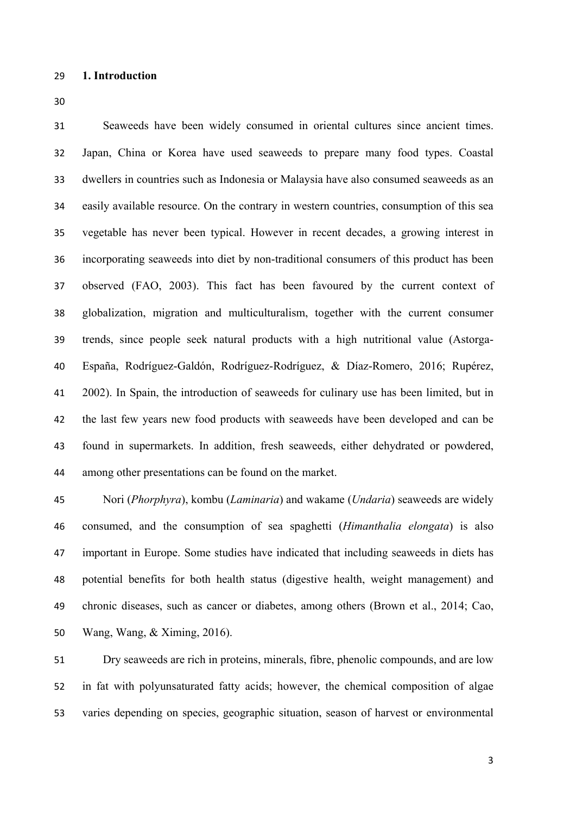Seaweeds have been widely consumed in oriental cultures since ancient times. Japan, China or Korea have used seaweeds to prepare many food types. Coastal dwellers in countries such as Indonesia or Malaysia have also consumed seaweeds as an easily available resource. On the contrary in western countries, consumption of this sea vegetable has never been typical. However in recent decades, a growing interest in incorporating seaweeds into diet by non-traditional consumers of this product has been observed (FAO, 2003). This fact has been favoured by the current context of globalization, migration and multiculturalism, together with the current consumer trends, since people seek natural products with a high nutritional value (Astorga- España, Rodríguez-Galdón, Rodríguez-Rodríguez, & Díaz-Romero, 2016; Rupérez, 2002). In Spain, the introduction of seaweeds for culinary use has been limited, but in the last few years new food products with seaweeds have been developed and can be found in supermarkets. In addition, fresh seaweeds, either dehydrated or powdered, among other presentations can be found on the market.

 Nori (*Phorphyra*), kombu (*Laminaria*) and wakame (*Undaria*) seaweeds are widely consumed, and the consumption of sea spaghetti (*Himanthalia elongata*) is also important in Europe. Some studies have indicated that including seaweeds in diets has potential benefits for both health status (digestive health, weight management) and chronic diseases, such as cancer or diabetes, among others (Brown et al., 2014; Cao, Wang, Wang, & Ximing, 2016).

 Dry seaweeds are rich in proteins, minerals, fibre, phenolic compounds, and are low in fat with polyunsaturated fatty acids; however, the chemical composition of algae varies depending on species, geographic situation, season of harvest or environmental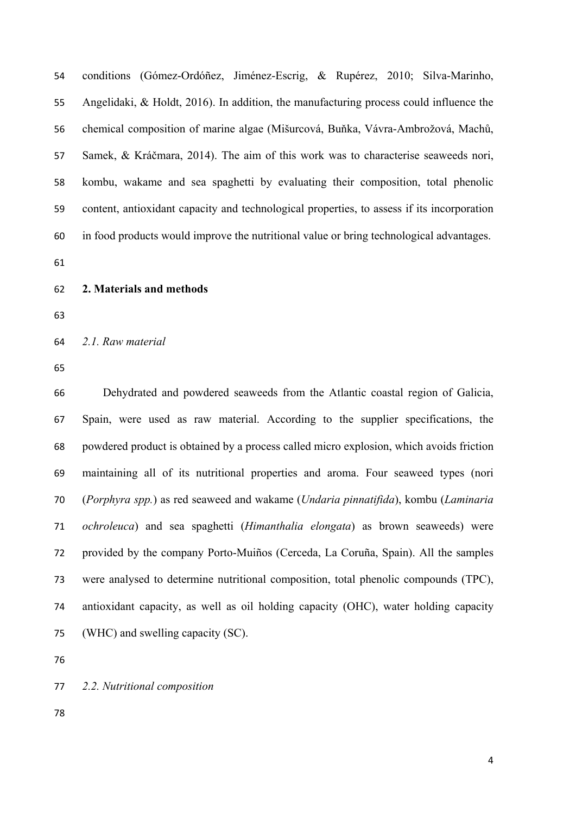conditions (Gómez-Ordóñez, Jiménez-Escrig, & Rupérez, 2010; Silva-Marinho, Angelidaki, & Holdt, 2016). In addition, the manufacturing process could influence the chemical composition of marine algae (Mišurcová, Buňka, Vávra-Ambrožová, Machů, Samek, & Kráčmara, 2014). The aim of this work was to characterise seaweeds nori, kombu, wakame and sea spaghetti by evaluating their composition, total phenolic content, antioxidant capacity and technological properties, to assess if its incorporation in food products would improve the nutritional value or bring technological advantages.

- **2. Materials and methods**
- 

*2.1. Raw material* 

 Dehydrated and powdered seaweeds from the Atlantic coastal region of Galicia, Spain, were used as raw material. According to the supplier specifications, the powdered product is obtained by a process called micro explosion, which avoids friction maintaining all of its nutritional properties and aroma. Four seaweed types (nori (*Porphyra spp.*) as red seaweed and wakame (*Undaria pinnatifida*), kombu (*Laminaria ochroleuca*) and sea spaghetti (*Himanthalia elongata*) as brown seaweeds) were provided by the company Porto-Muiños (Cerceda, La Coruña, Spain). All the samples were analysed to determine nutritional composition, total phenolic compounds (TPC), antioxidant capacity, as well as oil holding capacity (OHC), water holding capacity (WHC) and swelling capacity (SC).

*2.2. Nutritional composition*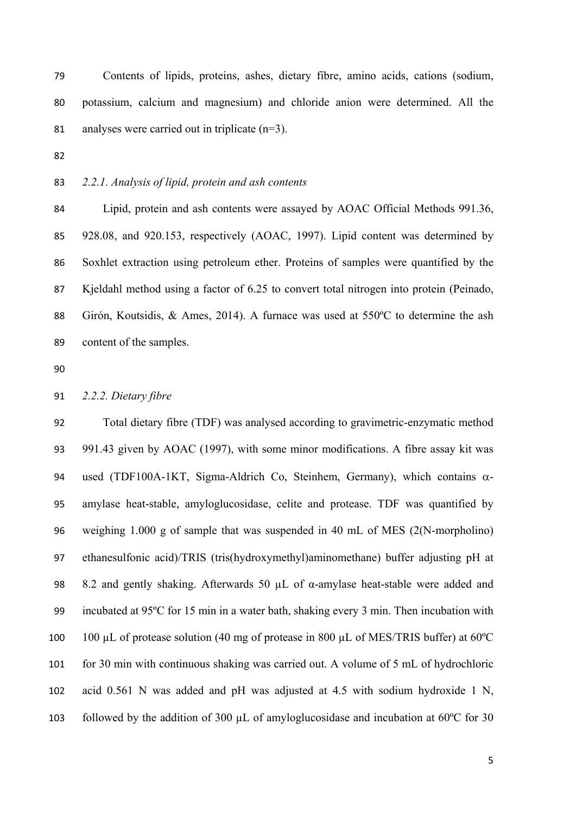Contents of lipids, proteins, ashes, dietary fibre, amino acids, cations (sodium, potassium, calcium and magnesium) and chloride anion were determined. All the 81 analyses were carried out in triplicate  $(n=3)$ .

# *2.2.1. Analysis of lipid, protein and ash contents*

 Lipid, protein and ash contents were assayed by AOAC Official Methods 991.36, 928.08, and 920.153, respectively (AOAC, 1997). Lipid content was determined by Soxhlet extraction using petroleum ether. Proteins of samples were quantified by the Kjeldahl method using a factor of 6.25 to convert total nitrogen into protein (Peinado, Girón, Koutsidis, & Ames, 2014). A furnace was used at 550ºC to determine the ash content of the samples.

#### *2.2.2. Dietary fibre*

 Total dietary fibre (TDF) was analysed according to gravimetric-enzymatic method 991.43 given by AOAC (1997), with some minor modifications. A fibre assay kit was 94 used (TDF100A-1KT, Sigma-Aldrich Co, Steinhem, Germany), which contains  $\alpha$ - amylase heat-stable, amyloglucosidase, celite and protease. TDF was quantified by weighing 1.000 g of sample that was suspended in 40 mL of MES (2(N-morpholino) ethanesulfonic acid)/TRIS (tris(hydroxymethyl)aminomethane) buffer adjusting pH at 8.2 and gently shaking. Afterwards 50 µL of α-amylase heat-stable were added and incubated at 95ºC for 15 min in a water bath, shaking every 3 min. Then incubation with 100 µL of protease solution (40 mg of protease in 800 µL of MES/TRIS buffer) at 60ºC for 30 min with continuous shaking was carried out. A volume of 5 mL of hydrochloric acid 0.561 N was added and pH was adjusted at 4.5 with sodium hydroxide 1 N, 103 followed by the addition of 300  $\mu$ L of amyloglucosidase and incubation at 60°C for 30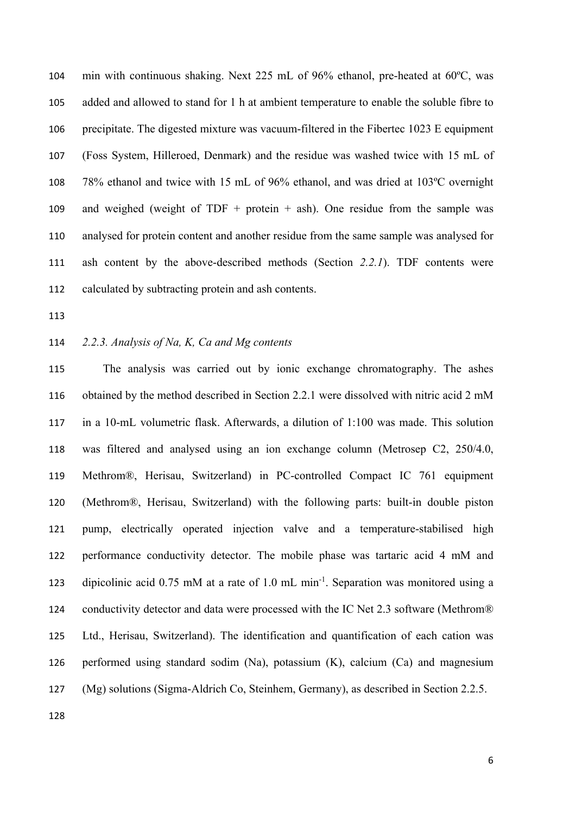min with continuous shaking. Next 225 mL of 96% ethanol, pre-heated at 60ºC, was added and allowed to stand for 1 h at ambient temperature to enable the soluble fibre to precipitate. The digested mixture was vacuum-filtered in the Fibertec 1023 E equipment (Foss System, Hilleroed, Denmark) and the residue was washed twice with 15 mL of 78% ethanol and twice with 15 mL of 96% ethanol, and was dried at 103ºC overnight 109 and weighed (weight of TDF + protein + ash). One residue from the sample was analysed for protein content and another residue from the same sample was analysed for ash content by the above-described methods (Section *2.2.1*). TDF contents were calculated by subtracting protein and ash contents.

### *2.2.3. Analysis of Na, K, Ca and Mg contents*

 The analysis was carried out by ionic exchange chromatography. The ashes obtained by the method described in Section 2.2.1 were dissolved with nitric acid 2 mM in a 10-mL volumetric flask. Afterwards, a dilution of 1:100 was made. This solution was filtered and analysed using an ion exchange column (Metrosep C2, 250/4.0, Methrom®, Herisau, Switzerland) in PC-controlled Compact IC 761 equipment (Methrom®, Herisau, Switzerland) with the following parts: built-in double piston pump, electrically operated injection valve and a temperature-stabilised high performance conductivity detector. The mobile phase was tartaric acid 4 mM and 123 dipicolinic acid 0.75 mM at a rate of 1.0 mL min<sup>-1</sup>. Separation was monitored using a 124 conductivity detector and data were processed with the IC Net 2.3 software (Methrom®) Ltd., Herisau, Switzerland). The identification and quantification of each cation was performed using standard sodim (Na), potassium (K), calcium (Ca) and magnesium (Mg) solutions (Sigma-Aldrich Co, Steinhem, Germany), as described in Section 2.2.5.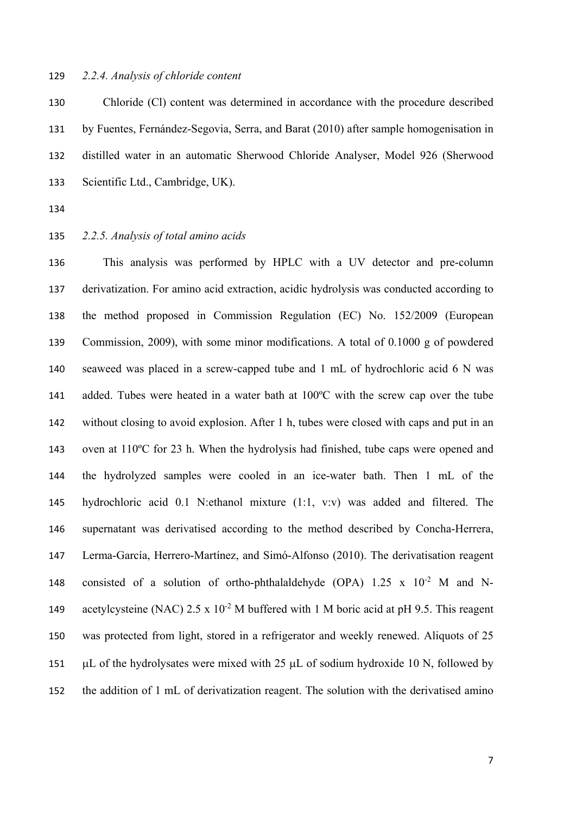#### *2.2.4. Analysis of chloride content*

 Chloride (Cl) content was determined in accordance with the procedure described by Fuentes, Fernández-Segovia, Serra, and Barat (2010) after sample homogenisation in distilled water in an automatic Sherwood Chloride Analyser, Model 926 (Sherwood Scientific Ltd., Cambridge, UK).

#### *2.2.5. Analysis of total amino acids*

 This analysis was performed by HPLC with a UV detector and pre-column derivatization. For amino acid extraction, acidic hydrolysis was conducted according to the method proposed in Commission Regulation (EC) No. 152/2009 (European Commission, 2009), with some minor modifications. A total of 0.1000 g of powdered seaweed was placed in a screw-capped tube and 1 mL of hydrochloric acid 6 N was added. Tubes were heated in a water bath at 100ºC with the screw cap over the tube without closing to avoid explosion. After 1 h, tubes were closed with caps and put in an oven at 110ºC for 23 h. When the hydrolysis had finished, tube caps were opened and the hydrolyzed samples were cooled in an ice-water bath. Then 1 mL of the hydrochloric acid 0.1 N:ethanol mixture (1:1, v:v) was added and filtered. The supernatant was derivatised according to the method described by Concha-Herrera, Lerma-García, Herrero-Martínez, and Simó-Alfonso (2010). The derivatisation reagent 148 consisted of a solution of ortho-phthalaldehyde (OPA)  $1.25 \times 10^{-2}$  M and N-149 acetylcysteine (NAC)  $2.5 \times 10^{-2}$  M buffered with 1 M boric acid at pH 9.5. This reagent was protected from light, stored in a refrigerator and weekly renewed. Aliquots of 25  $\mu$ L of the hydrolysates were mixed with 25  $\mu$ L of sodium hydroxide 10 N, followed by the addition of 1 mL of derivatization reagent. The solution with the derivatised amino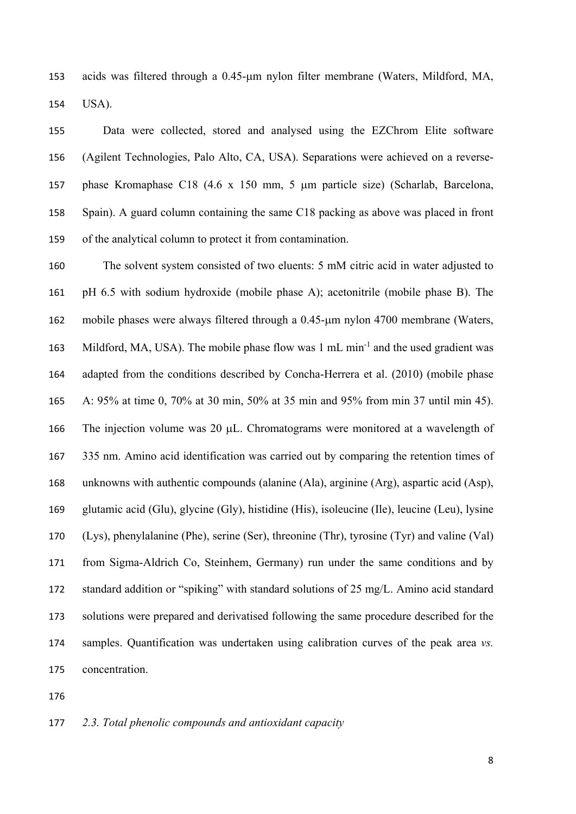153 acids was filtered through a 0.45-um nylon filter membrane (Waters, Mildford, MA, USA).

 Data were collected, stored and analysed using the EZChrom Elite software (Agilent Technologies, Palo Alto, CA, USA). Separations were achieved on a reverse-157 phase Kromaphase C18 (4.6 x 150 mm, 5 µm particle size) (Scharlab, Barcelona, Spain). A guard column containing the same C18 packing as above was placed in front of the analytical column to protect it from contamination.

 The solvent system consisted of two eluents: 5 mM citric acid in water adjusted to pH 6.5 with sodium hydroxide (mobile phase A); acetonitrile (mobile phase B). The 162 mobile phases were always filtered through a  $0.45$ - $\mu$ m nylon 4700 membrane (Waters, 163 Mildford, MA, USA). The mobile phase flow was  $1 \text{ mL min}^{-1}$  and the used gradient was adapted from the conditions described by Concha-Herrera et al. (2010) (mobile phase A: 95% at time 0, 70% at 30 min, 50% at 35 min and 95% from min 37 until min 45). 166 The injection volume was 20  $\mu$ L. Chromatograms were monitored at a wavelength of 335 nm. Amino acid identification was carried out by comparing the retention times of unknowns with authentic compounds (alanine (Ala), arginine (Arg), aspartic acid (Asp), glutamic acid (Glu), glycine (Gly), histidine (His), isoleucine (Ile), leucine (Leu), lysine (Lys), phenylalanine (Phe), serine (Ser), threonine (Thr), tyrosine (Tyr) and valine (Val) from Sigma-Aldrich Co, Steinhem, Germany) run under the same conditions and by standard addition or "spiking" with standard solutions of 25 mg/L. Amino acid standard solutions were prepared and derivatised following the same procedure described for the samples. Quantification was undertaken using calibration curves of the peak area *vs.* concentration.

#### *2.3. Total phenolic compounds and antioxidant capacity*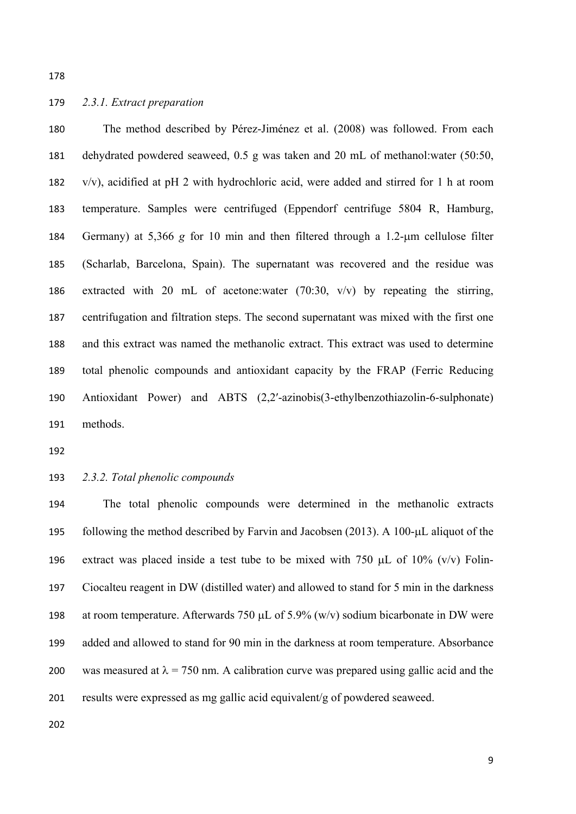### *2.3.1. Extract preparation*

 The method described by Pérez-Jiménez et al. (2008) was followed. From each dehydrated powdered seaweed, 0.5 g was taken and 20 mL of methanol:water (50:50, v/v), acidified at pH 2 with hydrochloric acid, were added and stirred for 1 h at room temperature. Samples were centrifuged (Eppendorf centrifuge 5804 R, Hamburg, 184 Germany) at 5,366 *g* for 10 min and then filtered through a 1.2-um cellulose filter (Scharlab, Barcelona, Spain). The supernatant was recovered and the residue was extracted with 20 mL of acetone:water (70:30, v/v) by repeating the stirring, centrifugation and filtration steps. The second supernatant was mixed with the first one and this extract was named the methanolic extract. This extract was used to determine total phenolic compounds and antioxidant capacity by the FRAP (Ferric Reducing Antioxidant Power) and ABTS (2,2′-azinobis(3-ethylbenzothiazolin-6-sulphonate) methods.

*2.3.2. Total phenolic compounds* 

 The total phenolic compounds were determined in the methanolic extracts 195 following the method described by Farvin and Jacobsen  $(2013)$ . A 100- $\mu$ L aliquot of the 196 extract was placed inside a test tube to be mixed with 750  $\mu$ L of 10% (v/v) Folin- Ciocalteu reagent in DW (distilled water) and allowed to stand for 5 min in the darkness 198 at room temperature. Afterwards 750  $\mu$ L of 5.9% (w/v) sodium bicarbonate in DW were added and allowed to stand for 90 min in the darkness at room temperature. Absorbance 200 was measured at  $\lambda = 750$  nm. A calibration curve was prepared using gallic acid and the results were expressed as mg gallic acid equivalent/g of powdered seaweed.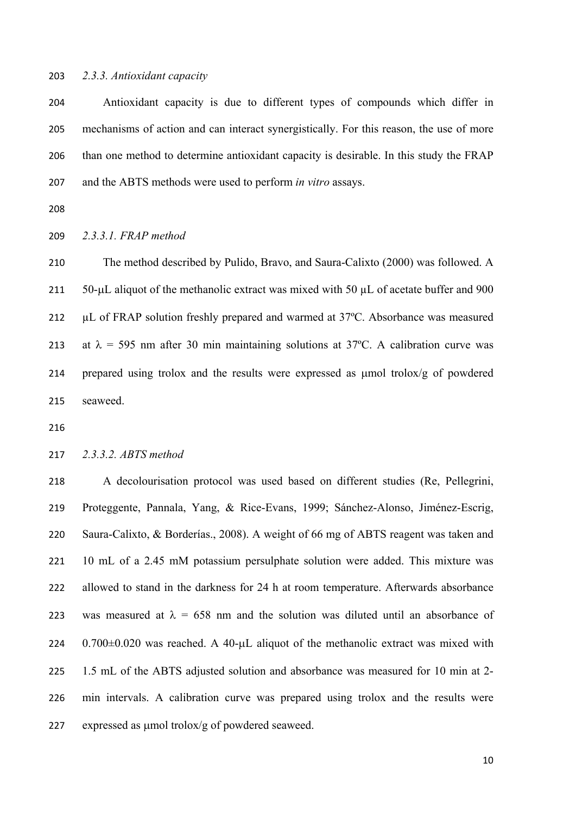#### *2.3.3. Antioxidant capacity*

 Antioxidant capacity is due to different types of compounds which differ in mechanisms of action and can interact synergistically. For this reason, the use of more than one method to determine antioxidant capacity is desirable. In this study the FRAP and the ABTS methods were used to perform *in vitro* assays.

*2.3.3.1. FRAP method* 

 The method described by Pulido, Bravo, and Saura-Calixto (2000) was followed. A 211  $50-\mu L$  aliquot of the methanolic extract was mixed with 50  $\mu L$  of acetate buffer and 900 212 µL of FRAP solution freshly prepared and warmed at 37°C. Absorbance was measured 213 at  $\lambda = 595$  nm after 30 min maintaining solutions at 37°C. A calibration curve was 214 prepared using trolox and the results were expressed as  $\mu$ mol trolox/g of powdered seaweed.

### *2.3.3.2. ABTS method*

 A decolourisation protocol was used based on different studies (Re, Pellegrini, Proteggente, Pannala, Yang, & Rice-Evans, 1999; Sánchez-Alonso, Jiménez-Escrig, Saura-Calixto, & Borderías., 2008). A weight of 66 mg of ABTS reagent was taken and 10 mL of a 2.45 mM potassium persulphate solution were added. This mixture was allowed to stand in the darkness for 24 h at room temperature. Afterwards absorbance 223 was measured at  $\lambda = 658$  nm and the solution was diluted until an absorbance of 0.700 $\pm$ 0.020 was reached. A 40- $\mu$ L aliquot of the methanolic extract was mixed with 1.5 mL of the ABTS adjusted solution and absorbance was measured for 10 min at 2- min intervals. A calibration curve was prepared using trolox and the results were 227 expressed as  $\mu$ mol trolox/g of powdered seaweed.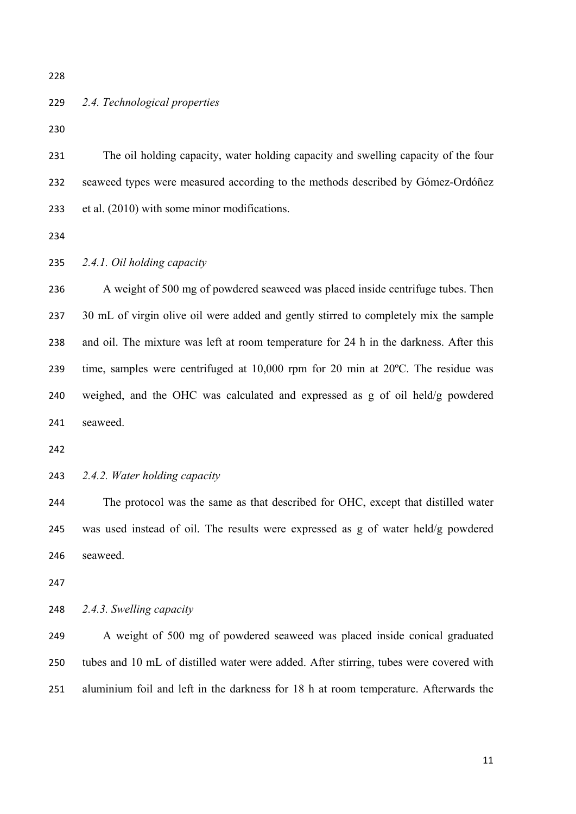# *2.4. Technological properties*

 The oil holding capacity, water holding capacity and swelling capacity of the four seaweed types were measured according to the methods described by Gómez-Ordóñez et al. (2010) with some minor modifications.

*2.4.1. Oil holding capacity* 

 A weight of 500 mg of powdered seaweed was placed inside centrifuge tubes. Then 237 30 mL of virgin olive oil were added and gently stirred to completely mix the sample and oil. The mixture was left at room temperature for 24 h in the darkness. After this time, samples were centrifuged at 10,000 rpm for 20 min at 20ºC. The residue was weighed, and the OHC was calculated and expressed as g of oil held/g powdered seaweed.

*2.4.2. Water holding capacity* 

 The protocol was the same as that described for OHC, except that distilled water was used instead of oil. The results were expressed as g of water held/g powdered seaweed.

*2.4.3. Swelling capacity* 

 A weight of 500 mg of powdered seaweed was placed inside conical graduated tubes and 10 mL of distilled water were added. After stirring, tubes were covered with aluminium foil and left in the darkness for 18 h at room temperature. Afterwards the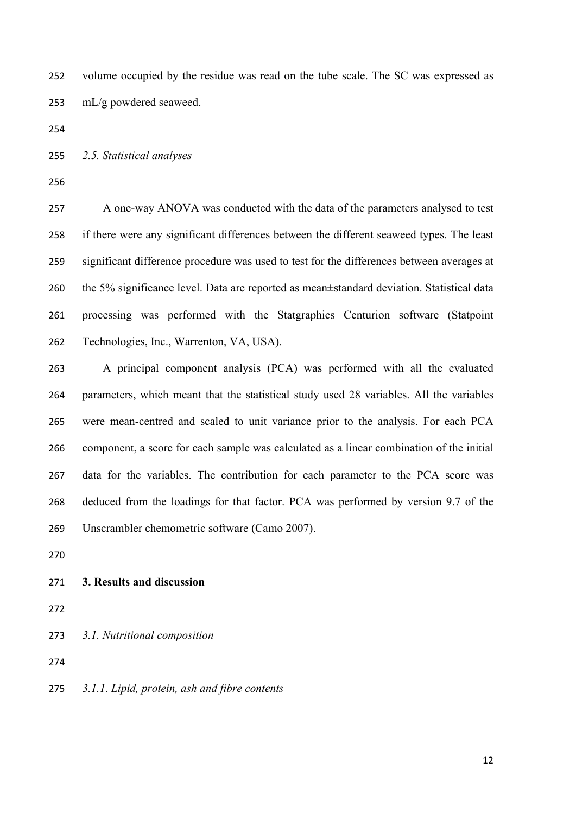volume occupied by the residue was read on the tube scale. The SC was expressed as mL/g powdered seaweed.

*2.5. Statistical analyses* 

 A one-way ANOVA was conducted with the data of the parameters analysed to test if there were any significant differences between the different seaweed types. The least significant difference procedure was used to test for the differences between averages at the 5% significance level. Data are reported as mean±standard deviation. Statistical data processing was performed with the Statgraphics Centurion software (Statpoint Technologies, Inc., Warrenton, VA, USA).

 A principal component analysis (PCA) was performed with all the evaluated parameters, which meant that the statistical study used 28 variables. All the variables were mean-centred and scaled to unit variance prior to the analysis. For each PCA component, a score for each sample was calculated as a linear combination of the initial data for the variables. The contribution for each parameter to the PCA score was deduced from the loadings for that factor. PCA was performed by version 9.7 of the Unscrambler chemometric software (Camo 2007).

#### **3. Results and discussion**

- 
- *3.1. Nutritional composition*

*3.1.1. Lipid, protein, ash and fibre contents*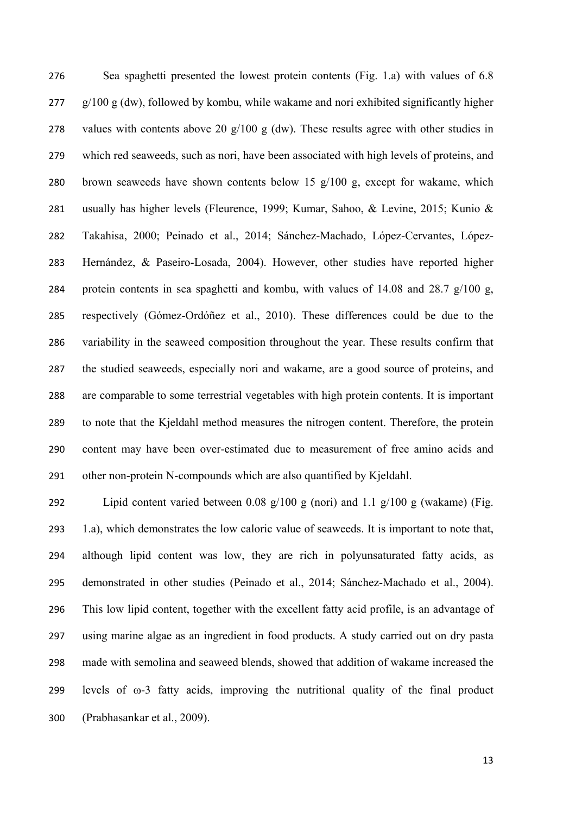Sea spaghetti presented the lowest protein contents (Fig. 1.a) with values of 6.8  $277 \text{ g}/100 \text{ g}$  (dw), followed by kombu, while wakame and nori exhibited significantly higher 278 values with contents above 20  $g/100 g$  (dw). These results agree with other studies in which red seaweeds, such as nori, have been associated with high levels of proteins, and brown seaweeds have shown contents below 15 g/100 g, except for wakame, which usually has higher levels (Fleurence, 1999; Kumar, Sahoo, & Levine, 2015; Kunio & Takahisa, 2000; Peinado et al., 2014; Sánchez-Machado, López-Cervantes, López- Hernández, & Paseiro-Losada, 2004). However, other studies have reported higher protein contents in sea spaghetti and kombu, with values of 14.08 and 28.7 g/100 g, respectively (Gómez-Ordóñez et al., 2010). These differences could be due to the variability in the seaweed composition throughout the year. These results confirm that the studied seaweeds, especially nori and wakame, are a good source of proteins, and are comparable to some terrestrial vegetables with high protein contents. It is important to note that the Kjeldahl method measures the nitrogen content. Therefore, the protein content may have been over-estimated due to measurement of free amino acids and other non-protein N-compounds which are also quantified by Kjeldahl.

292 Lipid content varied between 0.08  $g/100 g$  (nori) and 1.1  $g/100 g$  (wakame) (Fig. 1.a), which demonstrates the low caloric value of seaweeds. It is important to note that, although lipid content was low, they are rich in polyunsaturated fatty acids, as demonstrated in other studies (Peinado et al., 2014; Sánchez-Machado et al., 2004). This low lipid content, together with the excellent fatty acid profile, is an advantage of using marine algae as an ingredient in food products. A study carried out on dry pasta made with semolina and seaweed blends, showed that addition of wakame increased the 299 levels of  $\omega$ -3 fatty acids, improving the nutritional quality of the final product (Prabhasankar et al., 2009).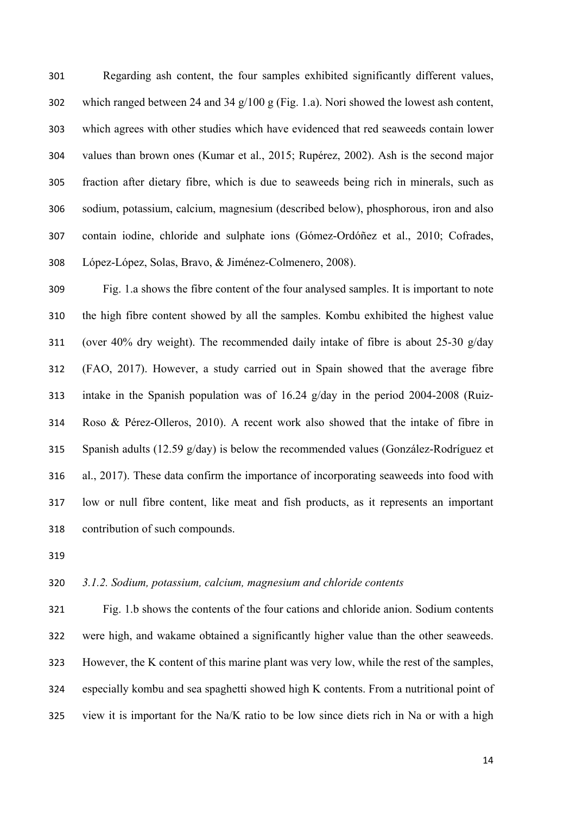Regarding ash content, the four samples exhibited significantly different values, 302 which ranged between 24 and 34  $g/100 g$  (Fig. 1.a). Nori showed the lowest ash content, which agrees with other studies which have evidenced that red seaweeds contain lower values than brown ones (Kumar et al., 2015; Rupérez, 2002). Ash is the second major fraction after dietary fibre, which is due to seaweeds being rich in minerals, such as sodium, potassium, calcium, magnesium (described below), phosphorous, iron and also contain iodine, chloride and sulphate ions (Gómez-Ordóñez et al., 2010; Cofrades, López-López, Solas, Bravo, & Jiménez-Colmenero, 2008).

 Fig. 1.a shows the fibre content of the four analysed samples. It is important to note the high fibre content showed by all the samples. Kombu exhibited the highest value (over 40% dry weight). The recommended daily intake of fibre is about 25-30 g/day (FAO, 2017). However, a study carried out in Spain showed that the average fibre intake in the Spanish population was of 16.24 g/day in the period 2004-2008 (Ruiz- Roso & Pérez-Olleros, 2010). A recent work also showed that the intake of fibre in Spanish adults (12.59 g/day) is below the recommended values (González-Rodríguez et al., 2017). These data confirm the importance of incorporating seaweeds into food with low or null fibre content, like meat and fish products, as it represents an important contribution of such compounds.

# *3.1.2. Sodium, potassium, calcium, magnesium and chloride contents*

 Fig. 1.b shows the contents of the four cations and chloride anion. Sodium contents were high, and wakame obtained a significantly higher value than the other seaweeds. However, the K content of this marine plant was very low, while the rest of the samples, especially kombu and sea spaghetti showed high K contents. From a nutritional point of view it is important for the Na/K ratio to be low since diets rich in Na or with a high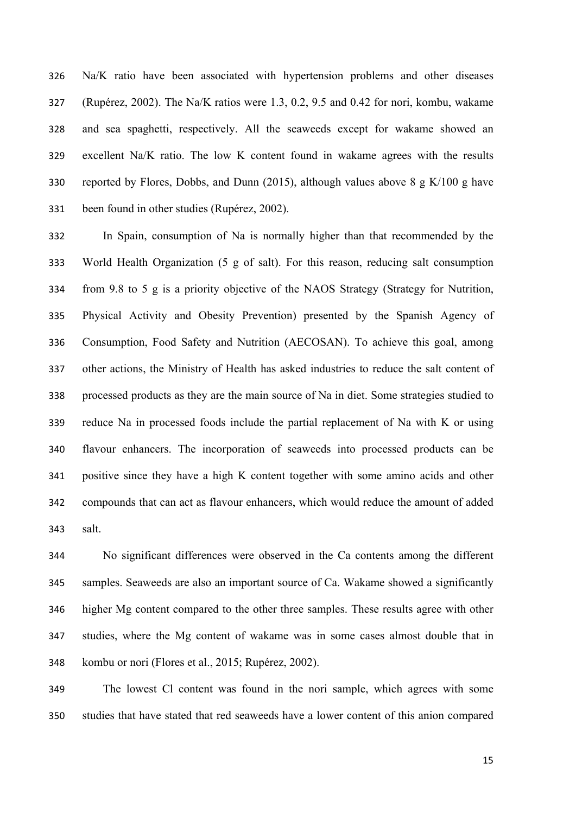Na/K ratio have been associated with hypertension problems and other diseases (Rupérez, 2002). The Na/K ratios were 1.3, 0.2, 9.5 and 0.42 for nori, kombu, wakame and sea spaghetti, respectively. All the seaweeds except for wakame showed an excellent Na/K ratio. The low K content found in wakame agrees with the results 330 reported by Flores, Dobbs, and Dunn (2015), although values above  $8 \text{ g K}/100 \text{ g have}$ been found in other studies (Rupérez, 2002).

 In Spain, consumption of Na is normally higher than that recommended by the World Health Organization (5 g of salt). For this reason, reducing salt consumption from 9.8 to 5 g is a priority objective of the NAOS Strategy (Strategy for Nutrition, Physical Activity and Obesity Prevention) presented by the Spanish Agency of Consumption, Food Safety and Nutrition (AECOSAN). To achieve this goal, among other actions, the Ministry of Health has asked industries to reduce the salt content of processed products as they are the main source of Na in diet. Some strategies studied to reduce Na in processed foods include the partial replacement of Na with K or using flavour enhancers. The incorporation of seaweeds into processed products can be positive since they have a high K content together with some amino acids and other compounds that can act as flavour enhancers, which would reduce the amount of added salt.

 No significant differences were observed in the Ca contents among the different samples. Seaweeds are also an important source of Ca. Wakame showed a significantly higher Mg content compared to the other three samples. These results agree with other studies, where the Mg content of wakame was in some cases almost double that in kombu or nori (Flores et al., 2015; Rupérez, 2002).

 The lowest Cl content was found in the nori sample, which agrees with some studies that have stated that red seaweeds have a lower content of this anion compared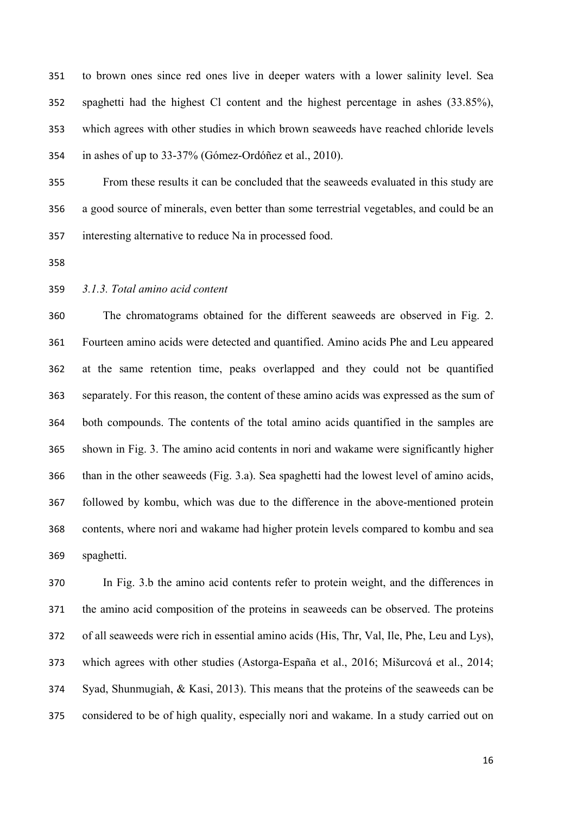to brown ones since red ones live in deeper waters with a lower salinity level. Sea spaghetti had the highest Cl content and the highest percentage in ashes (33.85%), which agrees with other studies in which brown seaweeds have reached chloride levels in ashes of up to 33-37% (Gómez-Ordóñez et al., 2010).

 From these results it can be concluded that the seaweeds evaluated in this study are a good source of minerals, even better than some terrestrial vegetables, and could be an interesting alternative to reduce Na in processed food.

- 
- *3.1.3. Total amino acid content*

 The chromatograms obtained for the different seaweeds are observed in Fig. 2. Fourteen amino acids were detected and quantified. Amino acids Phe and Leu appeared at the same retention time, peaks overlapped and they could not be quantified separately. For this reason, the content of these amino acids was expressed as the sum of both compounds. The contents of the total amino acids quantified in the samples are shown in Fig. 3. The amino acid contents in nori and wakame were significantly higher than in the other seaweeds (Fig. 3.a). Sea spaghetti had the lowest level of amino acids, followed by kombu, which was due to the difference in the above-mentioned protein contents, where nori and wakame had higher protein levels compared to kombu and sea spaghetti.

 In Fig. 3.b the amino acid contents refer to protein weight, and the differences in the amino acid composition of the proteins in seaweeds can be observed. The proteins of all seaweeds were rich in essential amino acids (His, Thr, Val, Ile, Phe, Leu and Lys), which agrees with other studies (Astorga-España et al., 2016; Mišurcová et al., 2014; Syad, Shunmugiah, & Kasi, 2013). This means that the proteins of the seaweeds can be considered to be of high quality, especially nori and wakame. In a study carried out on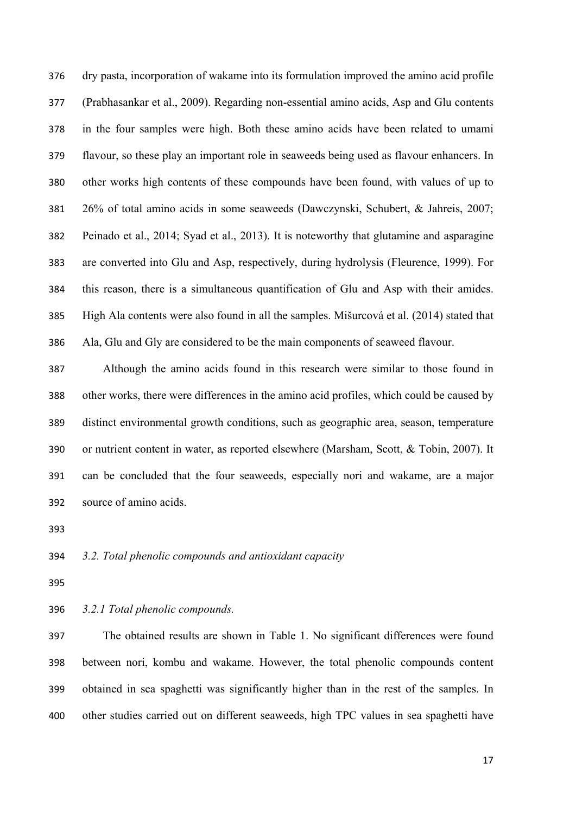dry pasta, incorporation of wakame into its formulation improved the amino acid profile (Prabhasankar et al., 2009). Regarding non-essential amino acids, Asp and Glu contents in the four samples were high. Both these amino acids have been related to umami flavour, so these play an important role in seaweeds being used as flavour enhancers. In other works high contents of these compounds have been found, with values of up to 26% of total amino acids in some seaweeds (Dawczynski, Schubert, & Jahreis, 2007; Peinado et al., 2014; Syad et al., 2013). It is noteworthy that glutamine and asparagine are converted into Glu and Asp, respectively, during hydrolysis (Fleurence, 1999). For this reason, there is a simultaneous quantification of Glu and Asp with their amides. High Ala contents were also found in all the samples. Mišurcová et al. (2014) stated that Ala, Glu and Gly are considered to be the main components of seaweed flavour.

 Although the amino acids found in this research were similar to those found in other works, there were differences in the amino acid profiles, which could be caused by distinct environmental growth conditions, such as geographic area, season, temperature or nutrient content in water, as reported elsewhere (Marsham, Scott, & Tobin, 2007). It can be concluded that the four seaweeds, especially nori and wakame, are a major source of amino acids.

## *3.2. Total phenolic compounds and antioxidant capacity*

*3.2.1 Total phenolic compounds.* 

 The obtained results are shown in Table 1. No significant differences were found between nori, kombu and wakame. However, the total phenolic compounds content obtained in sea spaghetti was significantly higher than in the rest of the samples. In other studies carried out on different seaweeds, high TPC values in sea spaghetti have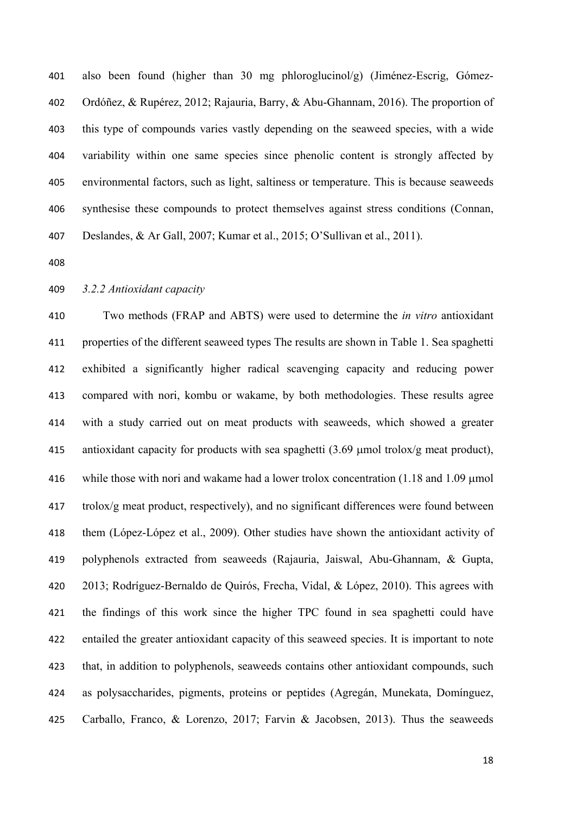also been found (higher than 30 mg phloroglucinol/g) (Jiménez-Escrig, Gómez- Ordóñez, & Rupérez, 2012; Rajauria, Barry, & Abu-Ghannam, 2016). The proportion of this type of compounds varies vastly depending on the seaweed species, with a wide variability within one same species since phenolic content is strongly affected by environmental factors, such as light, saltiness or temperature. This is because seaweeds synthesise these compounds to protect themselves against stress conditions (Connan, Deslandes, & Ar Gall, 2007; Kumar et al., 2015; O'Sullivan et al., 2011).

#### *3.2.2 Antioxidant capacity*

 Two methods (FRAP and ABTS) were used to determine the *in vitro* antioxidant properties of the different seaweed types The results are shown in Table 1. Sea spaghetti exhibited a significantly higher radical scavenging capacity and reducing power compared with nori, kombu or wakame, by both methodologies. These results agree with a study carried out on meat products with seaweeds, which showed a greater 415 antioxidant capacity for products with sea spaghetti  $(3.69 \text{ µmol} \text{ to } \text{to } \text{to } \text{y})$ 416 while those with nori and wakame had a lower trolox concentration  $(1.18 \text{ and } 1.09 \text{ µmol})$  trolox/g meat product, respectively), and no significant differences were found between them (López-López et al., 2009). Other studies have shown the antioxidant activity of polyphenols extracted from seaweeds (Rajauria, Jaiswal, Abu-Ghannam, & Gupta, 2013; Rodríguez-Bernaldo de Quirós, Frecha, Vidal, & López, 2010). This agrees with the findings of this work since the higher TPC found in sea spaghetti could have entailed the greater antioxidant capacity of this seaweed species. It is important to note that, in addition to polyphenols, seaweeds contains other antioxidant compounds, such as polysaccharides, pigments, proteins or peptides (Agregán, Munekata, Domínguez, Carballo, Franco, & Lorenzo, 2017; Farvin & Jacobsen, 2013). Thus the seaweeds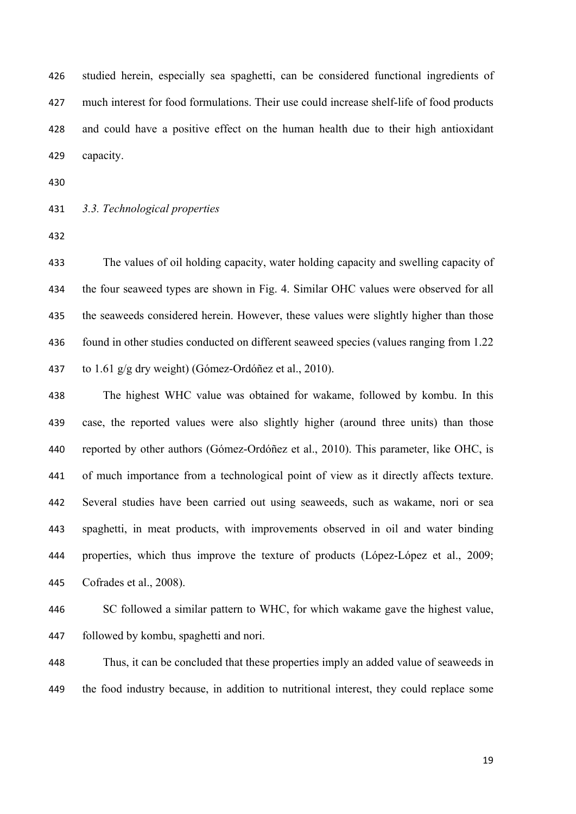studied herein, especially sea spaghetti, can be considered functional ingredients of much interest for food formulations. Their use could increase shelf-life of food products and could have a positive effect on the human health due to their high antioxidant capacity.

### *3.3. Technological properties*

 The values of oil holding capacity, water holding capacity and swelling capacity of the four seaweed types are shown in Fig. 4. Similar OHC values were observed for all the seaweeds considered herein. However, these values were slightly higher than those found in other studies conducted on different seaweed species (values ranging from 1.22 to 1.61 g/g dry weight) (Gómez-Ordóñez et al., 2010).

 The highest WHC value was obtained for wakame, followed by kombu. In this case, the reported values were also slightly higher (around three units) than those reported by other authors (Gómez-Ordóñez et al., 2010). This parameter, like OHC, is of much importance from a technological point of view as it directly affects texture. Several studies have been carried out using seaweeds, such as wakame, nori or sea spaghetti, in meat products, with improvements observed in oil and water binding properties, which thus improve the texture of products (López-López et al., 2009; Cofrades et al., 2008).

 SC followed a similar pattern to WHC, for which wakame gave the highest value, followed by kombu, spaghetti and nori.

 Thus, it can be concluded that these properties imply an added value of seaweeds in the food industry because, in addition to nutritional interest, they could replace some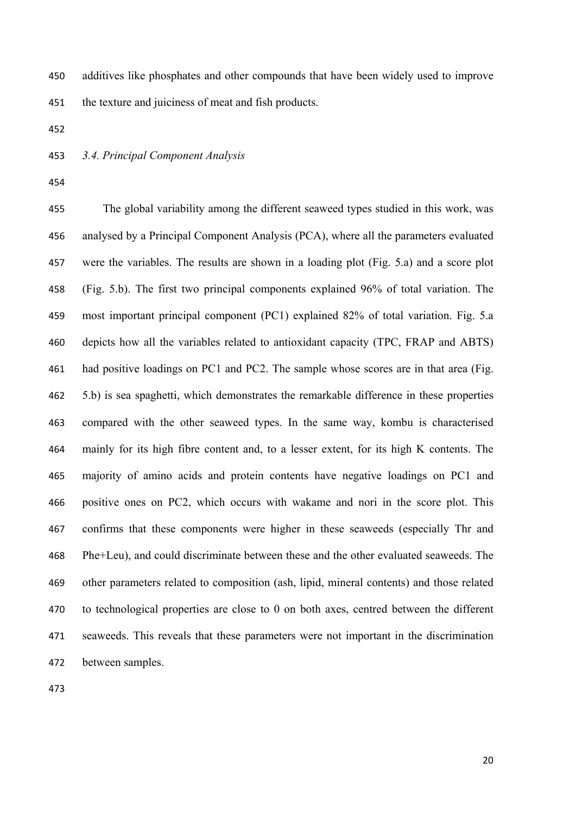additives like phosphates and other compounds that have been widely used to improve the texture and juiciness of meat and fish products.

### *3.4. Principal Component Analysis*

 The global variability among the different seaweed types studied in this work, was analysed by a Principal Component Analysis (PCA), where all the parameters evaluated were the variables. The results are shown in a loading plot (Fig. 5.a) and a score plot (Fig. 5.b). The first two principal components explained 96% of total variation. The most important principal component (PC1) explained 82% of total variation. Fig. 5.a depicts how all the variables related to antioxidant capacity (TPC, FRAP and ABTS) had positive loadings on PC1 and PC2. The sample whose scores are in that area (Fig. 5.b) is sea spaghetti, which demonstrates the remarkable difference in these properties compared with the other seaweed types. In the same way, kombu is characterised mainly for its high fibre content and, to a lesser extent, for its high K contents. The majority of amino acids and protein contents have negative loadings on PC1 and positive ones on PC2, which occurs with wakame and nori in the score plot. This confirms that these components were higher in these seaweeds (especially Thr and Phe+Leu), and could discriminate between these and the other evaluated seaweeds. The other parameters related to composition (ash, lipid, mineral contents) and those related to technological properties are close to 0 on both axes, centred between the different seaweeds. This reveals that these parameters were not important in the discrimination between samples.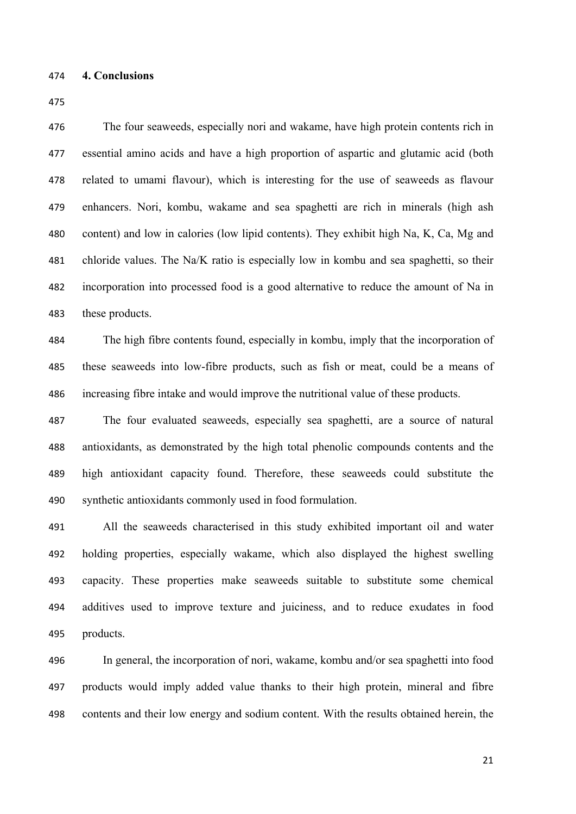The four seaweeds, especially nori and wakame, have high protein contents rich in essential amino acids and have a high proportion of aspartic and glutamic acid (both related to umami flavour), which is interesting for the use of seaweeds as flavour enhancers. Nori, kombu, wakame and sea spaghetti are rich in minerals (high ash content) and low in calories (low lipid contents). They exhibit high Na, K, Ca, Mg and chloride values. The Na/K ratio is especially low in kombu and sea spaghetti, so their incorporation into processed food is a good alternative to reduce the amount of Na in these products.

 The high fibre contents found, especially in kombu, imply that the incorporation of these seaweeds into low-fibre products, such as fish or meat, could be a means of increasing fibre intake and would improve the nutritional value of these products.

 The four evaluated seaweeds, especially sea spaghetti, are a source of natural antioxidants, as demonstrated by the high total phenolic compounds contents and the high antioxidant capacity found. Therefore, these seaweeds could substitute the synthetic antioxidants commonly used in food formulation.

 All the seaweeds characterised in this study exhibited important oil and water holding properties, especially wakame, which also displayed the highest swelling capacity. These properties make seaweeds suitable to substitute some chemical additives used to improve texture and juiciness, and to reduce exudates in food products.

 In general, the incorporation of nori, wakame, kombu and/or sea spaghetti into food products would imply added value thanks to their high protein, mineral and fibre contents and their low energy and sodium content. With the results obtained herein, the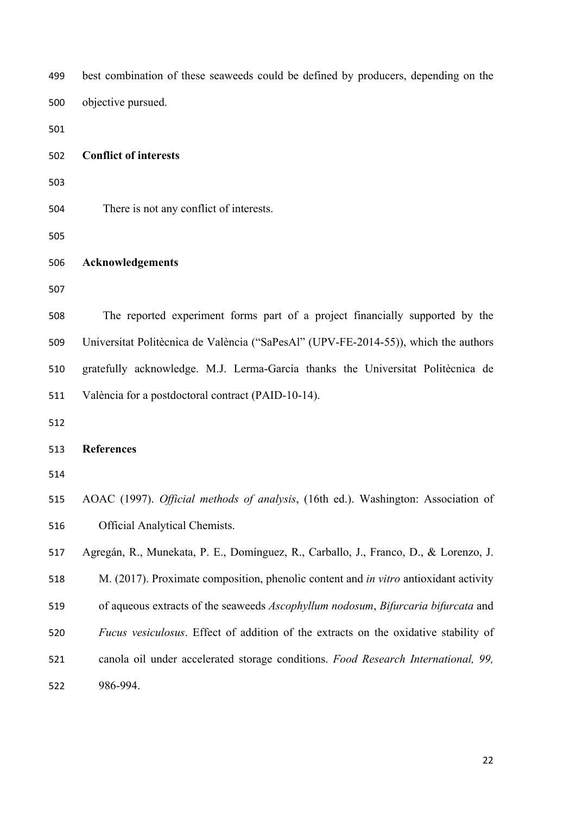| 499 | best combination of these seaweeds could be defined by producers, depending on the   |  |  |
|-----|--------------------------------------------------------------------------------------|--|--|
| 500 | objective pursued.                                                                   |  |  |
| 501 |                                                                                      |  |  |
| 502 | <b>Conflict of interests</b>                                                         |  |  |
| 503 |                                                                                      |  |  |
| 504 | There is not any conflict of interests.                                              |  |  |
| 505 |                                                                                      |  |  |
| 506 | <b>Acknowledgements</b>                                                              |  |  |
| 507 |                                                                                      |  |  |
| 508 | The reported experiment forms part of a project financially supported by the         |  |  |
| 509 | Universitat Politècnica de València ("SaPesAl" (UPV-FE-2014-55)), which the authors  |  |  |
| 510 | gratefully acknowledge. M.J. Lerma-García thanks the Universitat Politècnica de      |  |  |
| 511 | València for a postdoctoral contract (PAID-10-14).                                   |  |  |
| 512 |                                                                                      |  |  |
| 513 | <b>References</b>                                                                    |  |  |
| 514 |                                                                                      |  |  |
| 515 | AOAC (1997). Official methods of analysis, (16th ed.). Washington: Association of    |  |  |
| 516 | <b>Official Analytical Chemists.</b>                                                 |  |  |
| 517 | Agregán, R., Munekata, P. E., Domínguez, R., Carballo, J., Franco, D., & Lorenzo, J. |  |  |
| 518 | M. (2017). Proximate composition, phenolic content and in vitro antioxidant activity |  |  |
| 519 | of aqueous extracts of the seaweeds Ascophyllum nodosum, Bifurcaria bifurcata and    |  |  |
| 520 | Fucus vesiculosus. Effect of addition of the extracts on the oxidative stability of  |  |  |
| 521 | canola oil under accelerated storage conditions. Food Research International, 99,    |  |  |
| 522 | 986-994.                                                                             |  |  |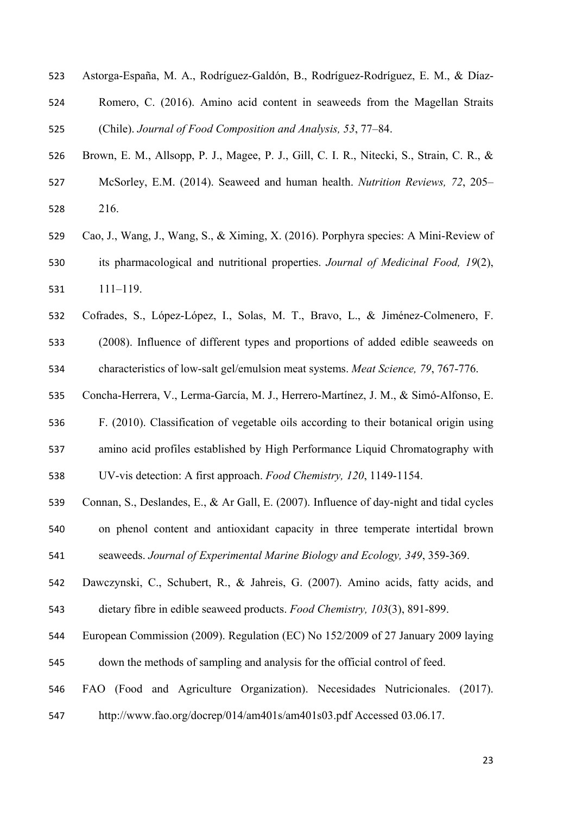- Astorga-España, M. A., Rodríguez-Galdón, B., Rodríguez-Rodríguez, E. M., & Díaz-
- Romero, C. (2016). Amino acid content in seaweeds from the Magellan Straits (Chile). *Journal of Food Composition and Analysis, 53*, 77–84.
- Brown, E. M., Allsopp, P. J., Magee, P. J., Gill, C. I. R., Nitecki, S., Strain, C. R., & McSorley, E.M. (2014). Seaweed and human health. *Nutrition Reviews, 72*, 205– 216.
- Cao, J., Wang, J., Wang, S., & Ximing, X. (2016). Porphyra species: A Mini-Review of its pharmacological and nutritional properties. *Journal of Medicinal Food, 19*(2), 111–119.
- Cofrades, S., López-López, I., Solas, M. T., Bravo, L., & Jiménez-Colmenero, F. (2008). Influence of different types and proportions of added edible seaweeds on characteristics of low-salt gel/emulsion meat systems. *Meat Science, 79*, 767-776.
- Concha-Herrera, V., Lerma-García, M. J., Herrero-Martínez, J. M., & Simó-Alfonso, E.
- F. (2010). Classification of vegetable oils according to their botanical origin using
- amino acid profiles established by High Performance Liquid Chromatography with
- UV-vis detection: A first approach. *Food Chemistry, 120*, 1149-1154.
- Connan, S., Deslandes, E., & Ar Gall, E. (2007). Influence of day-night and tidal cycles on phenol content and antioxidant capacity in three temperate intertidal brown
- seaweeds. *Journal of Experimental Marine Biology and Ecology, 349*, 359-369.
- Dawczynski, C., Schubert, R., & Jahreis, G. (2007). Amino acids, fatty acids, and dietary fibre in edible seaweed products. *Food Chemistry, 103*(3), 891-899.
- European Commission (2009). Regulation (EC) No 152/2009 of 27 January 2009 laying
- down the methods of sampling and analysis for the official control of feed.
- FAO (Food and Agriculture Organization). Necesidades Nutricionales. (2017).
- http://www.fao.org/docrep/014/am401s/am401s03.pdf Accessed 03.06.17.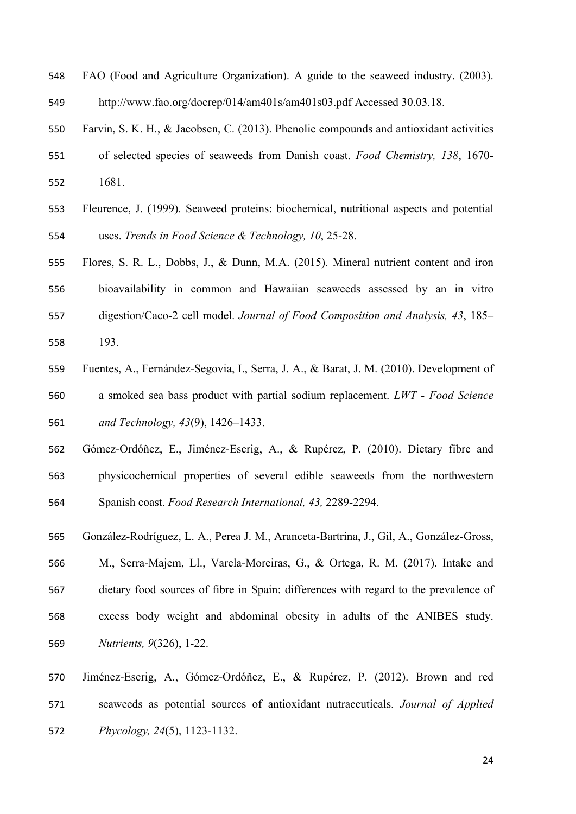FAO (Food and Agriculture Organization). A guide to the seaweed industry. (2003).

http://www.fao.org/docrep/014/am401s/am401s03.pdf Accessed 30.03.18.

- Farvin, S. K. H., & Jacobsen, C. (2013). Phenolic compounds and antioxidant activities
- of selected species of seaweeds from Danish coast. *Food Chemistry, 138*, 1670- 1681.
- Fleurence, J. (1999). Seaweed proteins: biochemical, nutritional aspects and potential uses. *Trends in Food Science & Technology, 10*, 25-28.
- Flores, S. R. L., Dobbs, J., & Dunn, M.A. (2015). Mineral nutrient content and iron bioavailability in common and Hawaiian seaweeds assessed by an in vitro digestion/Caco-2 cell model. *Journal of Food Composition and Analysis, 43*, 185– 193.
- Fuentes, A., Fernández-Segovia, I., Serra, J. A., & Barat, J. M. (2010). Development of a smoked sea bass product with partial sodium replacement. *LWT - Food Science and Technology, 43*(9), 1426–1433.
- Gómez-Ordóñez, E., Jiménez-Escrig, A., & Rupérez, P. (2010). Dietary fibre and physicochemical properties of several edible seaweeds from the northwestern Spanish coast. *Food Research International, 43,* 2289-2294.
- González-Rodríguez, L. A., Perea J. M., Aranceta-Bartrina, J., Gil, A., González-Gross, M., Serra-Majem, Ll., Varela-Moreiras, G., & Ortega, R. M. (2017). Intake and dietary food sources of fibre in Spain: differences with regard to the prevalence of excess body weight and abdominal obesity in adults of the ANIBES study. *Nutrients, 9*(326), 1-22.
- Jiménez-Escrig, A., Gómez-Ordóñez, E., & Rupérez, P. (2012). Brown and red seaweeds as potential sources of antioxidant nutraceuticals. *Journal of Applied Phycology, 24*(5), 1123-1132.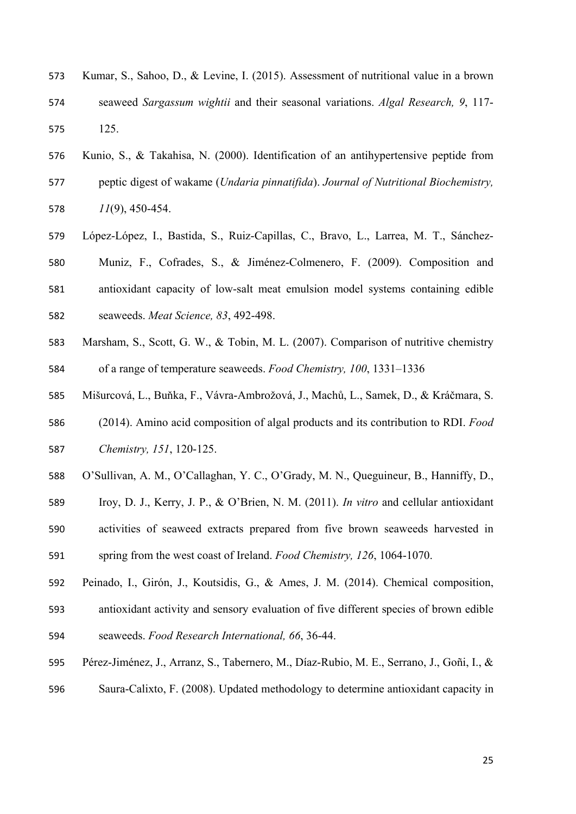- Kumar, S., Sahoo, D., & Levine, I. (2015). Assessment of nutritional value in a brown seaweed *Sargassum wightii* and their seasonal variations. *Algal Research, 9*, 117- 125.
- Kunio, S., & Takahisa, N. (2000). Identification of an antihypertensive peptide from peptic digest of wakame (*Undaria pinnatifida*). *Journal of Nutritional Biochemistry, 11*(9), 450-454.
- López-López, I., Bastida, S., Ruiz-Capillas, C., Bravo, L., Larrea, M. T., Sánchez- Muniz, F., Cofrades, S., & Jiménez-Colmenero, F. (2009). Composition and antioxidant capacity of low-salt meat emulsion model systems containing edible seaweeds. *Meat Science, 83*, 492-498.
- Marsham, S., Scott, G. W., & Tobin, M. L. (2007). Comparison of nutritive chemistry of a range of temperature seaweeds. *Food Chemistry, 100*, 1331–1336
- Mišurcová, L., Buňka, F., Vávra-Ambrožová, J., Machů, L., Samek, D., & Kráčmara, S.
- (2014). Amino acid composition of algal products and its contribution to RDI. *Food Chemistry, 151*, 120-125.
- O'Sullivan, A. M., O'Callaghan, Y. C., O'Grady, M. N., Queguineur, B., Hanniffy, D.,
- Iroy, D. J., Kerry, J. P., & O'Brien, N. M. (2011). *In vitro* and cellular antioxidant
- activities of seaweed extracts prepared from five brown seaweeds harvested in
- spring from the west coast of Ireland. *Food Chemistry, 126*, 1064-1070.
- Peinado, I., Girón, J., Koutsidis, G., & Ames, J. M. (2014). Chemical composition, antioxidant activity and sensory evaluation of five different species of brown edible
- seaweeds. *Food Research International, 66*, 36-44.
- Pérez-Jiménez, J., Arranz, S., Tabernero, M., Díaz-Rubio, M. E., Serrano, J., Goñi, I., & Saura-Calixto, F. (2008). Updated methodology to determine antioxidant capacity in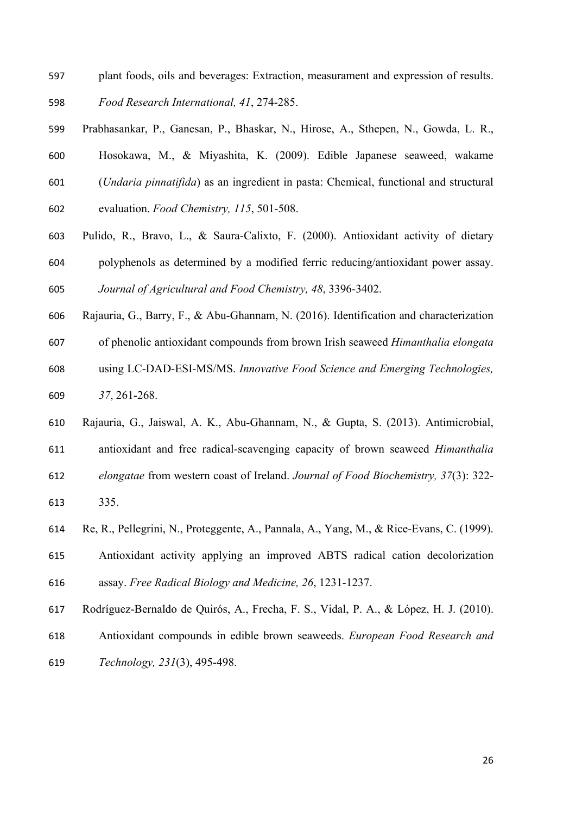- plant foods, oils and beverages: Extraction, measurament and expression of results. *Food Research International, 41*, 274-285.
- 
- Prabhasankar, P., Ganesan, P., Bhaskar, N., Hirose, A., Sthepen, N., Gowda, L. R.,
- Hosokawa, M., & Miyashita, K. (2009). Edible Japanese seaweed, wakame
- (*Undaria pinnatifida*) as an ingredient in pasta: Chemical, functional and structural
- evaluation. *Food Chemistry, 115*, 501-508.
- Pulido, R., Bravo, L., & Saura-Calixto, F. (2000). Antioxidant activity of dietary polyphenols as determined by a modified ferric reducing/antioxidant power assay.

*Journal of Agricultural and Food Chemistry, 48*, 3396-3402.

- Rajauria, G., Barry, F., & Abu-Ghannam, N. (2016). Identification and characterization
- of phenolic antioxidant compounds from brown Irish seaweed *Himanthalia elongata*
- using LC-DAD-ESI-MS/MS. *Innovative Food Science and Emerging Technologies,*
- *37*, 261-268.
- Rajauria, G., Jaiswal, A. K., Abu-Ghannam, N., & Gupta, S. (2013). Antimicrobial,
- antioxidant and free radical-scavenging capacity of brown seaweed *Himanthalia*
- *elongatae* from western coast of Ireland. *Journal of Food Biochemistry, 37*(3): 322-
- 335.
- Re, R., Pellegrini, N., Proteggente, A., Pannala, A., Yang, M., & Rice-Evans, C. (1999).
- Antioxidant activity applying an improved ABTS radical cation decolorization assay. *Free Radical Biology and Medicine, 26*, 1231-1237.
- Rodríguez-Bernaldo de Quirós, A., Frecha, F. S., Vidal, P. A., & López, H. J. (2010).
- Antioxidant compounds in edible brown seaweeds. *European Food Research and*
- *Technology, 231*(3), 495-498.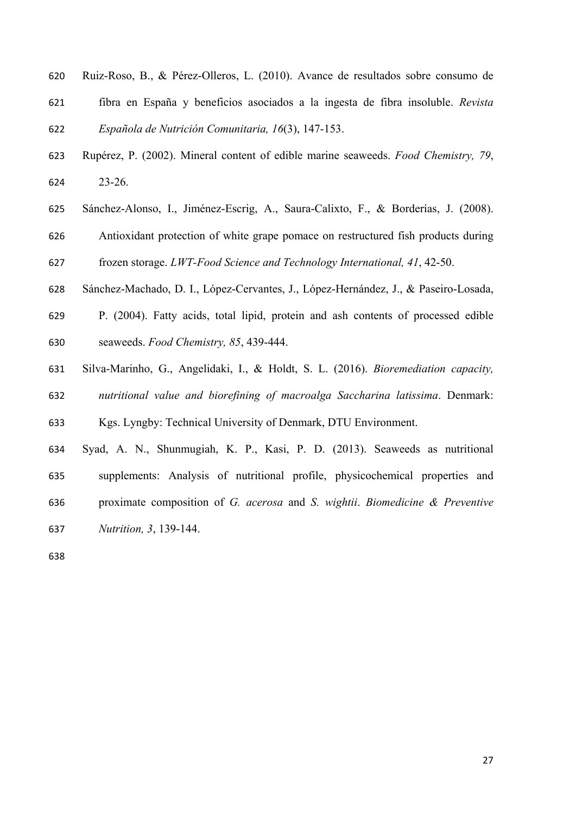- Ruiz-Roso, B., & Pérez-Olleros, L. (2010). Avance de resultados sobre consumo de fibra en España y beneficios asociados a la ingesta de fibra insoluble. *Revista Española de Nutrición Comunitaria, 16*(3), 147-153.
- Rupérez, P. (2002). Mineral content of edible marine seaweeds. *Food Chemistry, 79*, 23-26.
- Sánchez-Alonso, I., Jiménez-Escrig, A., Saura-Calixto, F., & Borderías, J. (2008).

 Antioxidant protection of white grape pomace on restructured fish products during frozen storage. *LWT-Food Science and Technology International, 41*, 42-50.

- Sánchez-Machado, D. I., López-Cervantes, J., López-Hernández, J., & Paseiro-Losada,
- P. (2004). Fatty acids, total lipid, protein and ash contents of processed edible seaweeds. *Food Chemistry, 85*, 439-444.
- Silva-Marinho, G., Angelidaki, I., & Holdt, S. L. (2016). *Bioremediation capacity,*
- *nutritional value and biorefining of macroalga Saccharina latissima*. Denmark:

Kgs. Lyngby: Technical University of Denmark, DTU Environment.

 Syad, A. N., Shunmugiah, K. P., Kasi, P. D. (2013). Seaweeds as nutritional supplements: Analysis of nutritional profile, physicochemical properties and proximate composition of *G. acerosa* and *S. wightii*. *Biomedicine & Preventive Nutrition, 3*, 139-144.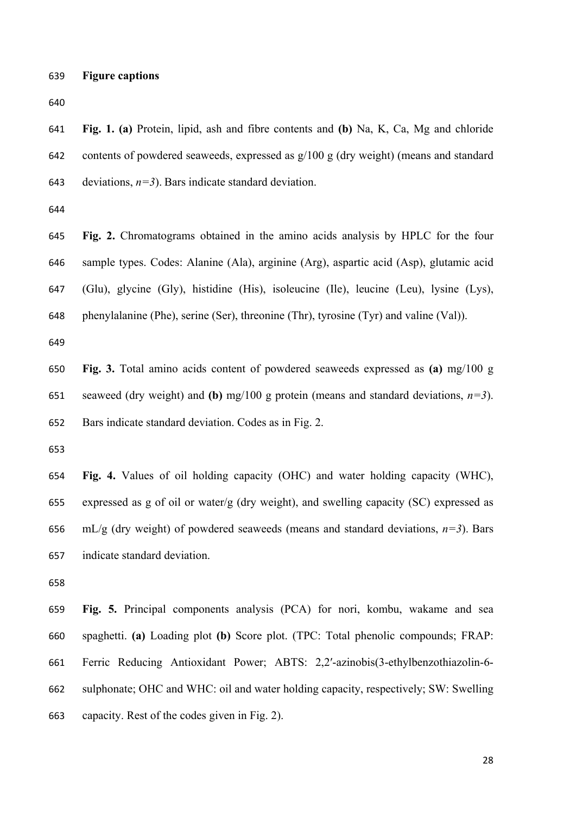**Fig. 1. (a)** Protein, lipid, ash and fibre contents and **(b)** Na, K, Ca, Mg and chloride contents of powdered seaweeds, expressed as g/100 g (dry weight) (means and standard 643 deviations,  $n=3$ ). Bars indicate standard deviation.

 **Fig. 2.** Chromatograms obtained in the amino acids analysis by HPLC for the four sample types. Codes: Alanine (Ala), arginine (Arg), aspartic acid (Asp), glutamic acid (Glu), glycine (Gly), histidine (His), isoleucine (Ile), leucine (Leu), lysine (Lys), phenylalanine (Phe), serine (Ser), threonine (Thr), tyrosine (Tyr) and valine (Val)).

 **Fig. 3.** Total amino acids content of powdered seaweeds expressed as **(a)** mg/100 g 651 seaweed (dry weight) and **(b)** mg/100 g protein (means and standard deviations,  $n=3$ ). Bars indicate standard deviation. Codes as in Fig. 2.

 **Fig. 4.** Values of oil holding capacity (OHC) and water holding capacity (WHC), expressed as g of oil or water/g (dry weight), and swelling capacity (SC) expressed as  $mL/g$  (dry weight) of powdered seaweeds (means and standard deviations,  $n=3$ ). Bars indicate standard deviation.

 **Fig. 5.** Principal components analysis (PCA) for nori, kombu, wakame and sea spaghetti. **(a)** Loading plot **(b)** Score plot. (TPC: Total phenolic compounds; FRAP: Ferric Reducing Antioxidant Power; ABTS: 2,2′-azinobis(3-ethylbenzothiazolin-6- sulphonate; OHC and WHC: oil and water holding capacity, respectively; SW: Swelling capacity. Rest of the codes given in Fig. 2).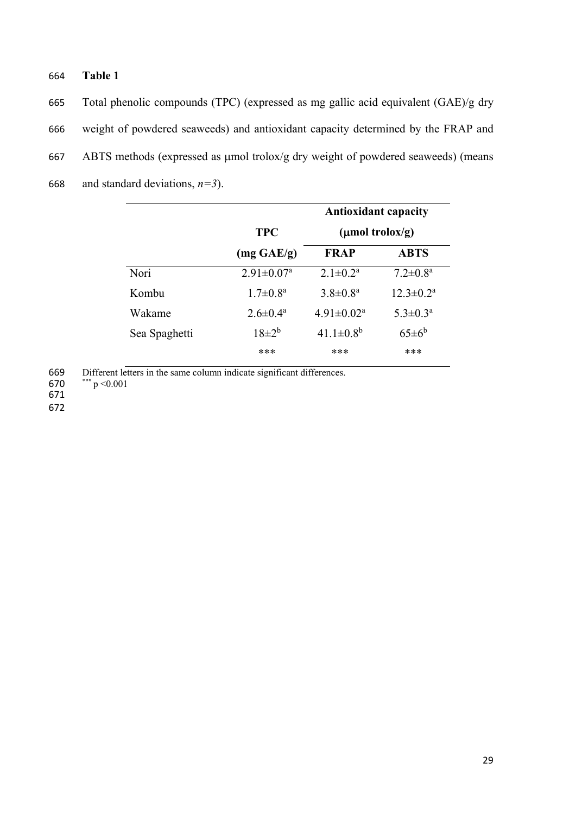# 664 **Table 1**

665 Total phenolic compounds (TPC) (expressed as mg gallic acid equivalent (GAE)/g dry 666 weight of powdered seaweeds) and antioxidant capacity determined by the FRAP and 667 ABTS methods (expressed as µmol trolox/g dry weight of powdered seaweeds) (means 668 and standard deviations,  $n=3$ ).

|               |                            | <b>Antioxidant capacity</b>           |                           |  |
|---------------|----------------------------|---------------------------------------|---------------------------|--|
|               | <b>TPC</b>                 | $(\mu \text{mol} \, \text{trolox/g})$ |                           |  |
|               | $(mg \text{ } GAE/g)$      | <b>FRAP</b>                           | <b>ABTS</b>               |  |
| Nori          | $2.91 \pm 0.07^{\text{a}}$ | $2.1 \pm 0.2^a$                       | $7.2 \pm 0.8^{\text{a}}$  |  |
| Kombu         | $1.7 \pm 0.8^{\text{a}}$   | $3.8 \pm 0.8^a$                       | $12.3 \pm 0.2^{\text{a}}$ |  |
| Wakame        | $2.6 \pm 0.4^{\circ}$      | $4.91 \pm 0.02^a$                     | $5.3 \pm 0.3^{\rm a}$     |  |
| Sea Spaghetti | $18+2^{b}$                 | $41.1 \pm 0.8^b$                      | $65\pm6^{\rm b}$          |  |
|               | ***                        | ***                                   | ***                       |  |

669 Different letters in the same column indicate significant differences.

670  $***$  p < 0.001

671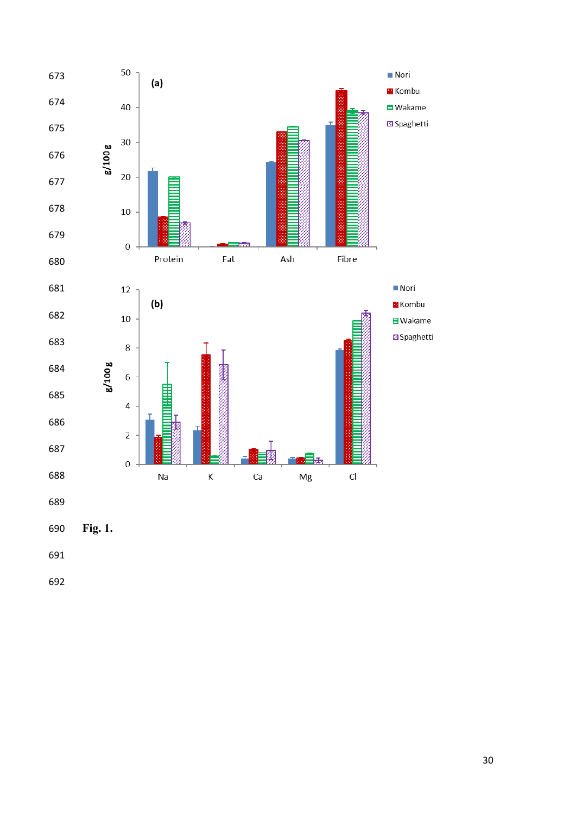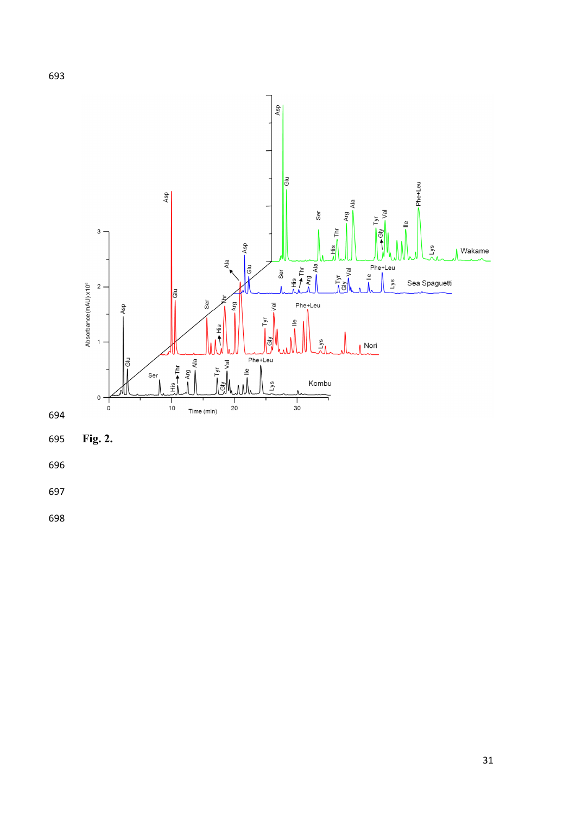

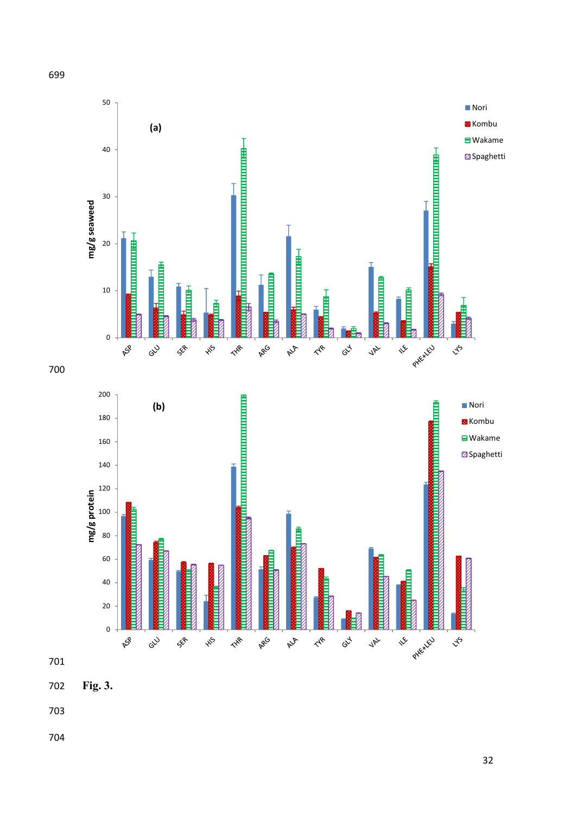

**Fig. 3.**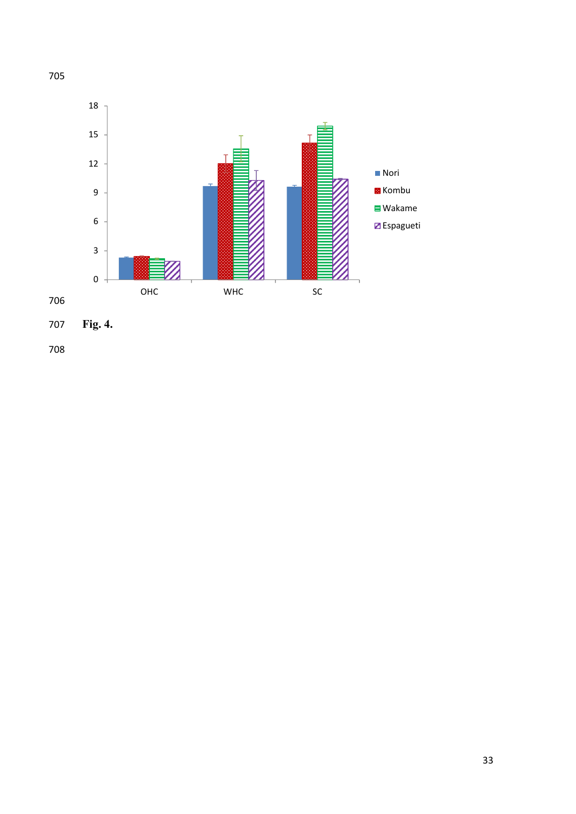